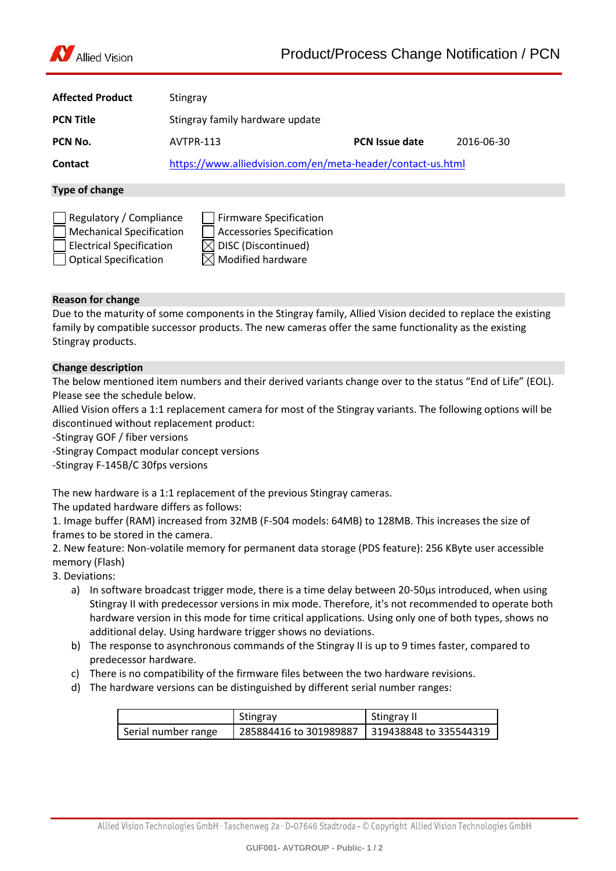

| <b>Affected Product</b> | Stingray                                                    |                       |            |
|-------------------------|-------------------------------------------------------------|-----------------------|------------|
| <b>PCN Title</b>        | Stingray family hardware update                             |                       |            |
| PCN No.                 | AVTPR-113                                                   | <b>PCN Issue date</b> | 2016-06-30 |
| Contact                 | https://www.alliedvision.com/en/meta-header/contact-us.html |                       |            |
| Type of change          |                                                             |                       |            |

| Regulatory / Compliance         | Firmware Specification          |
|---------------------------------|---------------------------------|
| Mechanical Specification        | Accessories Specification       |
| $\Box$ Electrical Specification | $\boxtimes$ DISC (Discontinued) |
| Optical Specification           | $\boxtimes$ Modified hardware   |

# **Reason for change**

Due to the maturity of some components in the Stingray family, Allied Vision decided to replace the existing family by compatible successor products. The new cameras offer the same functionality as the existing Stingray products.

# **Change description**

The below mentioned item numbers and their derived variants change over to the status "End of Life" (EOL). Please see the schedule below.

Allied Vision offers a 1:1 replacement camera for most of the Stingray variants. The following options will be discontinued without replacement product:

-Stingray GOF / fiber versions

-Stingray Compact modular concept versions

-Stingray F-145B/C 30fps versions

The new hardware is a 1:1 replacement of the previous Stingray cameras.

The updated hardware differs as follows:

1. Image buffer (RAM) increased from 32MB (F-504 models: 64MB) to 128MB. This increases the size of frames to be stored in the camera.

2. New feature: Non-volatile memory for permanent data storage (PDS feature): 256 KByte user accessible memory (Flash)

3. Deviations:

- a) In software broadcast trigger mode, there is a time delay between 20-50us introduced, when using Stingray II with predecessor versions in mix mode. Therefore, it's not recommended to operate both hardware version in this mode for time critical applications. Using only one of both types, shows no additional delay. Using hardware trigger shows no deviations.
- b) The response to asynchronous commands of the Stingray II is up to 9 times faster, compared to predecessor hardware.
- c) There is no compatibility of the firmware files between the two hardware revisions.
- d) The hardware versions can be distinguished by different serial number ranges:

|                     | Stingray               | Stingray II            |
|---------------------|------------------------|------------------------|
| Serial number range | 285884416 to 301989887 | 319438848 to 335544319 |